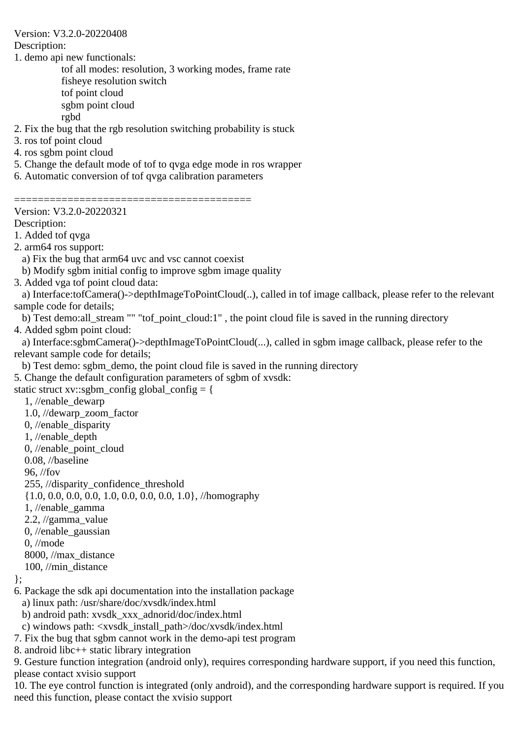Version: V3.2.0-20220408

Description:

1. demo api new functionals:

tof all modes: resolution, 3 working modes, frame rate fisheye resolution switch tof point cloud

sgbm point cloud

rgbd

2. Fix the bug that the rgb resolution switching probability is stuck

3. ros tof point cloud

4. ros sgbm point cloud

5. Change the default mode of tof to qvga edge mode in ros wrapper

6. Automatic conversion of tof qvga calibration parameters

========================================

Version: V3.2.0-20220321 Description: 1. Added tof qvga 2. arm64 ros support: a) Fix the bug that arm64 uvc and vsc cannot coexist b) Modify sgbm initial config to improve sgbm image quality 3. Added vga tof point cloud data: a) Interface:tofCamera()->depthImageToPointCloud(..), called in tof image callback, please refer to the relevant sample code for details;

b) Test demo:all\_stream "" "tof\_point\_cloud:1" , the point cloud file is saved in the running directory

4. Added sgbm point cloud:

a) Interface:sgbmCamera()->depthImageToPointCloud(...), called in sgbm image callback, please refer to the relevant sample code for details;

b) Test demo: sgbm\_demo, the point cloud file is saved in the running directory

5. Change the default configuration parameters of sgbm of xvsdk:

static struct xv::sgbm\_config global\_config = {

 1, //enable\_dewarp 1.0, //dewarp\_zoom\_factor 0, //enable\_disparity 1, //enable\_depth 0, //enable\_point\_cloud 0.08, //baseline 96, //fov 255, //disparity\_confidence\_threshold {1.0, 0.0, 0.0, 0.0, 1.0, 0.0, 0.0, 0.0, 1.0}, //homography 1, //enable\_gamma 2.2, //gamma\_value 0, //enable\_gaussian 0, //mode 8000, //max\_distance 100, //min\_distance }; 6. Package the sdk api documentation into the installation package

a) linux path: /usr/share/doc/xvsdk/index.html

b) android path: xvsdk\_xxx\_adnorid/doc/index.html

c) windows path: <xvsdk\_install\_path>/doc/xvsdk/index.html

7. Fix the bug that sgbm cannot work in the demo-api test program

8. android libc++ static library integration

9. Gesture function integration (android only), requires corresponding hardware support, if you need this function, please contact xvisio support

10. The eye control function is integrated (only android), and the corresponding hardware support is required. If you need this function, please contact the xvisio support